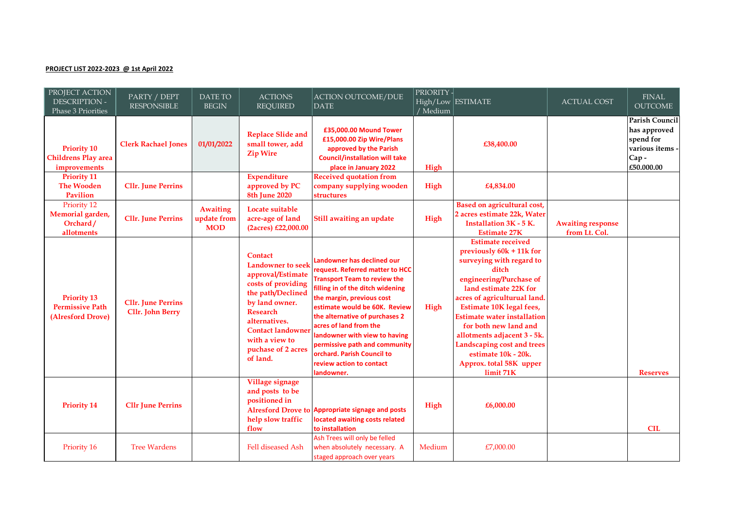## **PROJECT LIST 2022-2023 @ 1st April 2022**

| PROJECT ACTION<br>DESCRIPTION -<br>Phase 3 Priorities             | PARTY / DEPT<br><b>RESPONSIBLE</b>                   | DATE TO<br><b>BEGIN</b>                      | <b>ACTIONS</b><br><b>REQUIRED</b>                                                                                                                                                                                                                | <b>ACTION OUTCOME/DUE</b><br>DATE                                                                                                                                                                                                                                                                                                                                                                            | <b>PRIORITY-</b><br>/ Medium | High/Low ESTIMATE                                                                                                                                                                                                                                                                                                                                                                                           | <b>ACTUAL COST</b>                        | <b>FINAL</b><br><b>OUTCOME</b>                                                     |
|-------------------------------------------------------------------|------------------------------------------------------|----------------------------------------------|--------------------------------------------------------------------------------------------------------------------------------------------------------------------------------------------------------------------------------------------------|--------------------------------------------------------------------------------------------------------------------------------------------------------------------------------------------------------------------------------------------------------------------------------------------------------------------------------------------------------------------------------------------------------------|------------------------------|-------------------------------------------------------------------------------------------------------------------------------------------------------------------------------------------------------------------------------------------------------------------------------------------------------------------------------------------------------------------------------------------------------------|-------------------------------------------|------------------------------------------------------------------------------------|
| <b>Priority 10</b><br><b>Childrens Play area</b><br>improvements  | <b>Clerk Rachael Jones</b>                           | 01/01/2022                                   | <b>Replace Slide and</b><br>small tower, add<br><b>Zip Wire</b>                                                                                                                                                                                  | £35,000.00 Mound Tower<br>£15,000.00 Zip Wire/Plans<br>approved by the Parish<br><b>Council/installation will take</b><br>place in January 2022                                                                                                                                                                                                                                                              | High                         | £38,400.00                                                                                                                                                                                                                                                                                                                                                                                                  |                                           | Parish Council<br>has approved<br>spend for<br>various items<br>Cap-<br>€50.000.00 |
| <b>Priority 11</b><br><b>The Wooden</b><br><b>Pavilion</b>        | <b>Cllr.</b> June Perrins                            |                                              | <b>Expenditure</b><br>approved by PC<br>8th June 2020                                                                                                                                                                                            | <b>Received quotation from</b><br>company supplying wooden<br><b>structures</b>                                                                                                                                                                                                                                                                                                                              | High                         | £4,834.00                                                                                                                                                                                                                                                                                                                                                                                                   |                                           |                                                                                    |
| Priority 12<br>Memorial garden,<br>Orchard/<br>allotments         | <b>Cllr.</b> June Perrins                            | <b>Awaiting</b><br>update from<br><b>MOD</b> | Locate suitable<br>acre-age of land<br>(2acres) £22,000.00                                                                                                                                                                                       | Still awaiting an update                                                                                                                                                                                                                                                                                                                                                                                     | High                         | Based on agricultural cost,<br>2 acres estimate 22k, Water<br><b>Installation 3K - 5 K.</b><br><b>Estimate 27K</b>                                                                                                                                                                                                                                                                                          | <b>Awaiting response</b><br>from Lt. Col. |                                                                                    |
| <b>Priority 13</b><br><b>Permissive Path</b><br>(Alresford Drove) | <b>Cllr.</b> June Perrins<br><b>Cllr.</b> John Berry |                                              | <b>Contact</b><br><b>Landowner</b> to seek<br>approval/Estimate<br>costs of providing<br>the path/Declined<br>by land owner.<br><b>Research</b><br>alternatives.<br><b>Contact landowner</b><br>with a view to<br>puchase of 2 acres<br>of land. | Landowner has declined our<br>request. Referred matter to HCC<br><b>Transport Team to review the</b><br>filling in of the ditch widening<br>the margin, previous cost<br>estimate would be 60K. Review<br>the alternative of purchases 2<br>acres of land from the<br>landowner with view to having<br>permissive path and community<br>orchard. Parish Council to<br>review action to contact<br>landowner. | High                         | <b>Estimate received</b><br>previously 60k + 11k for<br>surveying with regard to<br>ditch<br>engineering/Purchase of<br>land estimate 22K for<br>acres of agriculturual land.<br>Estimate 10K legal fees,<br><b>Estimate water installation</b><br>for both new land and<br>allotments adjacent 3 - 5k.<br><b>Landscaping cost and trees</b><br>estimate 10k - 20k.<br>Approx. total 58K upper<br>limit 71K |                                           | <b>Reserves</b>                                                                    |
| <b>Priority 14</b>                                                | <b>Cllr June Perrins</b>                             |                                              | Village signage<br>and posts to be<br>positioned in<br>help slow traffic<br>flow                                                                                                                                                                 | Alresford Drove to Appropriate signage and posts<br>located awaiting costs related<br>to installation                                                                                                                                                                                                                                                                                                        | High                         | £6,000.00                                                                                                                                                                                                                                                                                                                                                                                                   |                                           | <b>CIL</b>                                                                         |
| Priority 16                                                       | <b>Tree Wardens</b>                                  |                                              | Fell diseased Ash                                                                                                                                                                                                                                | Ash Trees will only be felled<br>when absolutely necessary. A<br>staged approach over years                                                                                                                                                                                                                                                                                                                  | Medium                       | £7,000.00                                                                                                                                                                                                                                                                                                                                                                                                   |                                           |                                                                                    |